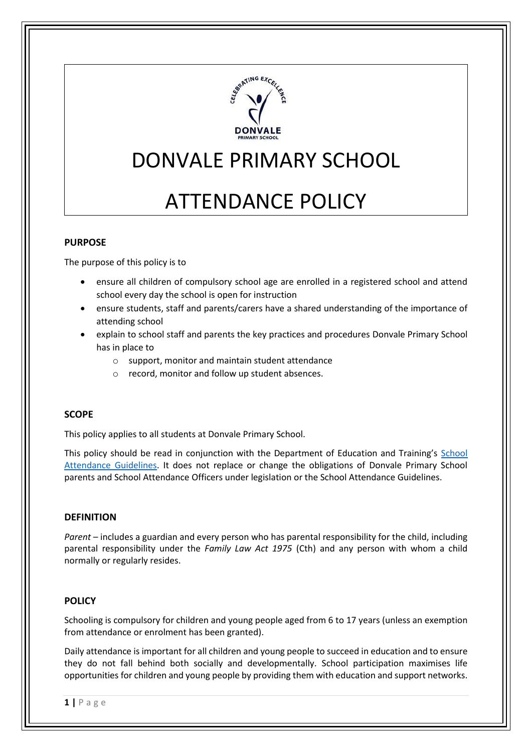

# DONVALE PRIMARY SCHOOL

# ATTENDANCE POLICY

## **PURPOSE**

The purpose of this policy is to

- ensure all children of compulsory school age are enrolled in a registered school and attend school every day the school is open for instruction
- ensure students, staff and parents/carers have a shared understanding of the importance of attending school
- explain to school staff and parents the key practices and procedures Donvale Primary School has in place to
	- o support, monitor and maintain student attendance
	- o record, monitor and follow up student absences.

#### **SCOPE**

This policy applies to all students at Donvale Primary School.

This policy should be read in conjunction with the Department of Education and Training's [School](http://www.education.vic.gov.au/school/teachers/studentmanagement/Pages/attendance.aspx)  [Attendance Guidelines.](http://www.education.vic.gov.au/school/teachers/studentmanagement/Pages/attendance.aspx) It does not replace or change the obligations of Donvale Primary School parents and School Attendance Officers under legislation or the School Attendance Guidelines.

#### **DEFINITION**

*Parent* – includes a guardian and every person who has parental responsibility for the child, including parental responsibility under the *Family Law Act 1975* (Cth) and any person with whom a child normally or regularly resides.

#### **POLICY**

Schooling is compulsory for children and young people aged from 6 to 17 years (unless an exemption from attendance or enrolment has been granted).

Daily attendance is important for all children and young people to succeed in education and to ensure they do not fall behind both socially and developmentally. School participation maximises life opportunities for children and young people by providing them with education and support networks.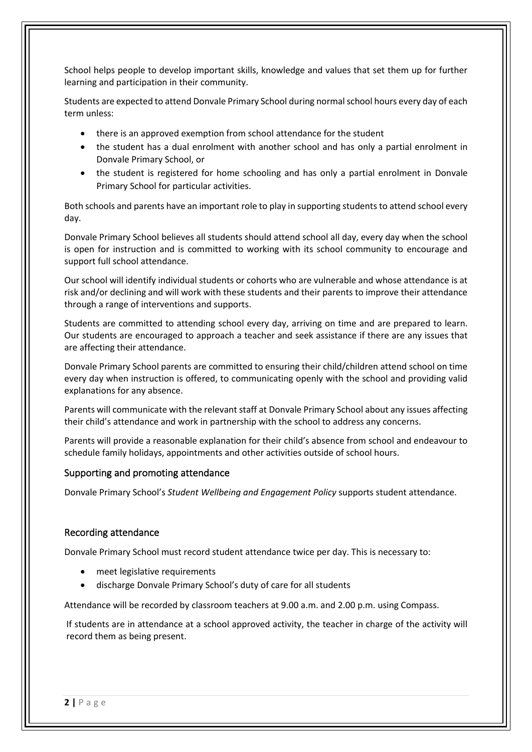School helps people to develop important skills, knowledge and values that set them up for further learning and participation in their community.

Students are expected to attend Donvale Primary School during normal school hours every day of each term unless:

- there is an approved exemption from school attendance for the student
- the student has a dual enrolment with another school and has only a partial enrolment in Donvale Primary School, or
- the student is registered for home schooling and has only a partial enrolment in Donvale Primary School for particular activities.

Both schools and parents have an important role to play in supporting students to attend school every day.

Donvale Primary School believes all students should attend school all day, every day when the school is open for instruction and is committed to working with its school community to encourage and support full school attendance.

Our school will identify individual students or cohorts who are vulnerable and whose attendance is at risk and/or declining and will work with these students and their parents to improve their attendance through a range of interventions and supports.

Students are committed to attending school every day, arriving on time and are prepared to learn. Our students are encouraged to approach a teacher and seek assistance if there are any issues that are affecting their attendance.

Donvale Primary School parents are committed to ensuring their child/children attend school on time every day when instruction is offered, to communicating openly with the school and providing valid explanations for any absence.

Parents will communicate with the relevant staff at Donvale Primary School about any issues affecting their child's attendance and work in partnership with the school to address any concerns.

Parents will provide a reasonable explanation for their child's absence from school and endeavour to schedule family holidays, appointments and other activities outside of school hours.

#### Supporting and promoting attendance

Donvale Primary School's *Student Wellbeing and Engagement Policy* supports student attendance.

#### Recording attendance

Donvale Primary School must record student attendance twice per day. This is necessary to:

- meet legislative requirements
- discharge Donvale Primary School's duty of care for all students

Attendance will be recorded by classroom teachers at 9.00 a.m. and 2.00 p.m. using Compass.

If students are in attendance at a school approved activity, the teacher in charge of the activity will record them as being present.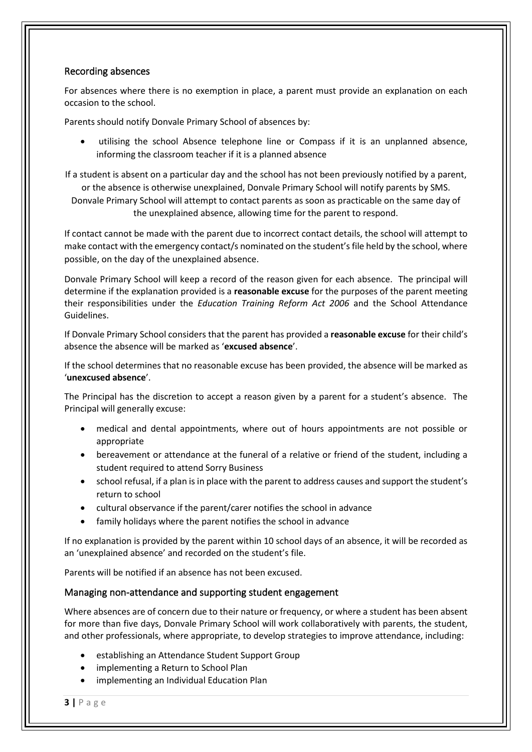#### Recording absences

For absences where there is no exemption in place, a parent must provide an explanation on each occasion to the school.

Parents should notify Donvale Primary School of absences by:

utilising the school Absence telephone line or Compass if it is an unplanned absence, informing the classroom teacher if it is a planned absence

If a student is absent on a particular day and the school has not been previously notified by a parent, or the absence is otherwise unexplained, Donvale Primary School will notify parents by SMS.

Donvale Primary School will attempt to contact parents as soon as practicable on the same day of the unexplained absence, allowing time for the parent to respond.

If contact cannot be made with the parent due to incorrect contact details, the school will attempt to make contact with the emergency contact/s nominated on the student's file held by the school, where possible, on the day of the unexplained absence.

Donvale Primary School will keep a record of the reason given for each absence. The principal will determine if the explanation provided is a **reasonable excuse** for the purposes of the parent meeting their responsibilities under the *Education Training Reform Act 2006* and the School Attendance Guidelines.

If Donvale Primary School considers that the parent has provided a **reasonable excuse** for their child's absence the absence will be marked as '**excused absence**'.

If the school determines that no reasonable excuse has been provided, the absence will be marked as '**unexcused absence**'.

The Principal has the discretion to accept a reason given by a parent for a student's absence. The Principal will generally excuse:

- medical and dental appointments, where out of hours appointments are not possible or appropriate
- bereavement or attendance at the funeral of a relative or friend of the student, including a student required to attend Sorry Business
- school refusal, if a plan is in place with the parent to address causes and support the student's return to school
- cultural observance if the parent/carer notifies the school in advance
- family holidays where the parent notifies the school in advance

If no explanation is provided by the parent within 10 school days of an absence, it will be recorded as an 'unexplained absence' and recorded on the student's file.

Parents will be notified if an absence has not been excused.

#### Managing non-attendance and supporting student engagement

Where absences are of concern due to their nature or frequency, or where a student has been absent for more than five days, Donvale Primary School will work collaboratively with parents, the student, and other professionals, where appropriate, to develop strategies to improve attendance, including:

- establishing an Attendance Student Support Group
- implementing a Return to School Plan
- implementing an Individual Education Plan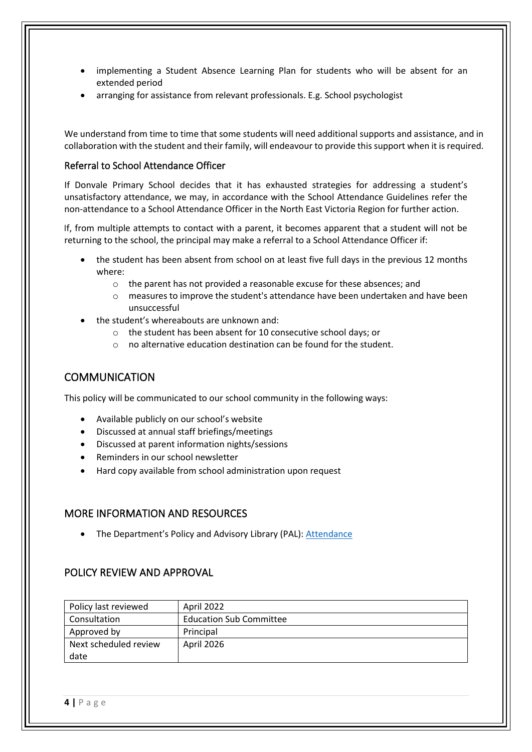- implementing a Student Absence Learning Plan for students who will be absent for an extended period
- arranging for assistance from relevant professionals. E.g. School psychologist

We understand from time to time that some students will need additional supports and assistance, and in collaboration with the student and their family, will endeavour to provide this support when it is required.

#### Referral to School Attendance Officer

If Donvale Primary School decides that it has exhausted strategies for addressing a student's unsatisfactory attendance, we may, in accordance with the School Attendance Guidelines refer the non-attendance to a School Attendance Officer in the North East Victoria Region for further action.

If, from multiple attempts to contact with a parent, it becomes apparent that a student will not be returning to the school, the principal may make a referral to a School Attendance Officer if:

- the student has been absent from school on at least five full days in the previous 12 months where:
	- o the parent has not provided a reasonable excuse for these absences; and
	- o measures to improve the student's attendance have been undertaken and have been unsuccessful
- the student's whereabouts are unknown and:
	- o the student has been absent for 10 consecutive school days; or
	- o no alternative education destination can be found for the student.

# **COMMUNICATION**

This policy will be communicated to our school community in the following ways:

- Available publicly on our school's website
- Discussed at annual staff briefings/meetings
- Discussed at parent information nights/sessions
- Reminders in our school newsletter
- Hard copy available from school administration upon request

# MORE INFORMATION AND RESOURCES

• The Department's Policy and Advisory Library (PAL): [Attendance](https://www2.education.vic.gov.au/pal/attendance/policy)

# POLICY REVIEW AND APPROVAL

| Policy last reviewed  | April 2022                     |
|-----------------------|--------------------------------|
| Consultation          | <b>Education Sub Committee</b> |
| Approved by           | Principal                      |
| Next scheduled review | April 2026                     |
| date                  |                                |